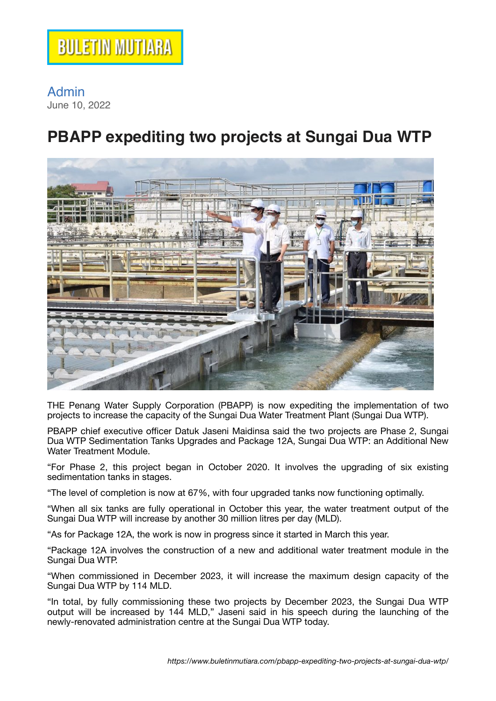## Admin

June 10, 2022

## **PBAPP expediting two projects at Sungai Dua WTP**



THE Penang Water Supply Corporation (PBAPP) is now expediting the implementation of two projects to increase the capacity of the Sungai Dua Water Treatment Plant (Sungai Dua WTP).

PBAPP chief executive officer Datuk Jaseni Maidinsa said the two projects are Phase 2, Sungai Dua WTP Sedimentation Tanks Upgrades and Package 12A, Sungai Dua WTP: an Additional New Water Treatment Module.

"For Phase 2, this project began in October 2020. It involves the upgrading of six existing sedimentation tanks in stages.

"The level of completion is now at 67%, with four upgraded tanks now functioning optimally.

"When all six tanks are fully operational in October this year, the water treatment output of the Sungai Dua WTP will increase by another 30 million litres per day (MLD).

"As for Package 12A, the work is now in progress since it started in March this year.

"Package 12A involves the construction of a new and additional water treatment module in the Sungai Dua WTP.

"When commissioned in December 2023, it will increase the maximum design capacity of the Sungai Dua WTP by 114 MLD.

"In total, by fully commissioning these two projects by December 2023, the Sungai Dua WTP output will be increased by 144 MLD," Jaseni said in his speech during the launching of the newly-renovated administration centre at the Sungai Dua WTP today.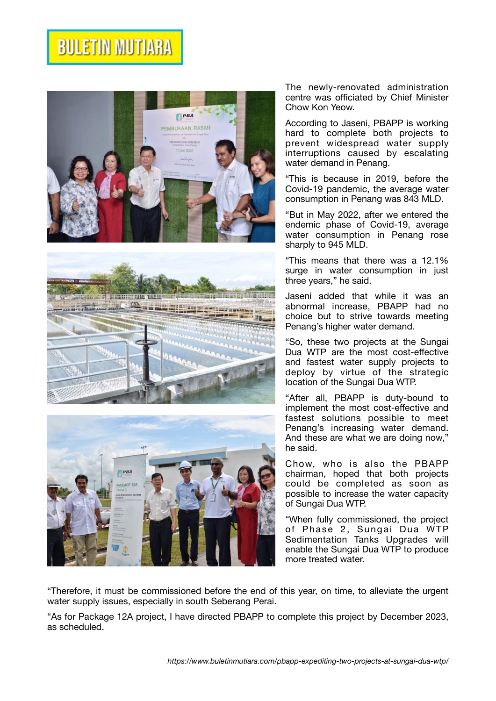## **BULETIN MUTIARA**







The newly-renovated administration centre was officiated by Chief Minister Chow Kon Yeow.

According to Jaseni, PBAPP is working hard to complete both projects to prevent widespread water supply interruptions caused by escalating water demand in Penang.

"This is because in 2019, before the Covid-19 pandemic, the average water consumption in Penang was 843 MLD.

"But in May 2022, after we entered the endemic phase of Covid-19, average water consumption in Penang rose sharply to 945 MLD.

"This means that there was a 12.1% surge in water consumption in just three years," he said.

Jaseni added that while it was an abnormal increase, PBAPP had no choice but to strive towards meeting Penang's higher water demand.

"So, these two projects at the Sungai Dua WTP are the most cost-effective and fastest water supply projects to deploy by virtue of the strategic location of the Sungai Dua WTP.

"After all, PBAPP is duty-bound to implement the most cost-effective and fastest solutions possible to meet Penang's increasing water demand. And these are what we are doing now," he said.

Chow, who is also the PBAPP chairman, hoped that both projects could be completed as soon as possible to increase the water capacity of Sungai Dua WTP.

"When fully commissioned, the project of Phase 2, Sungai Dua WTP Sedimentation Tanks Upgrades will enable the Sungai Dua WTP to produce more treated water

"Therefore, it must be commissioned before the end of this year, on time, to alleviate the urgent water supply issues, especially in south Seberang Perai.

"As for Package 12A project, I have directed PBAPP to complete this project by December 2023, as scheduled.